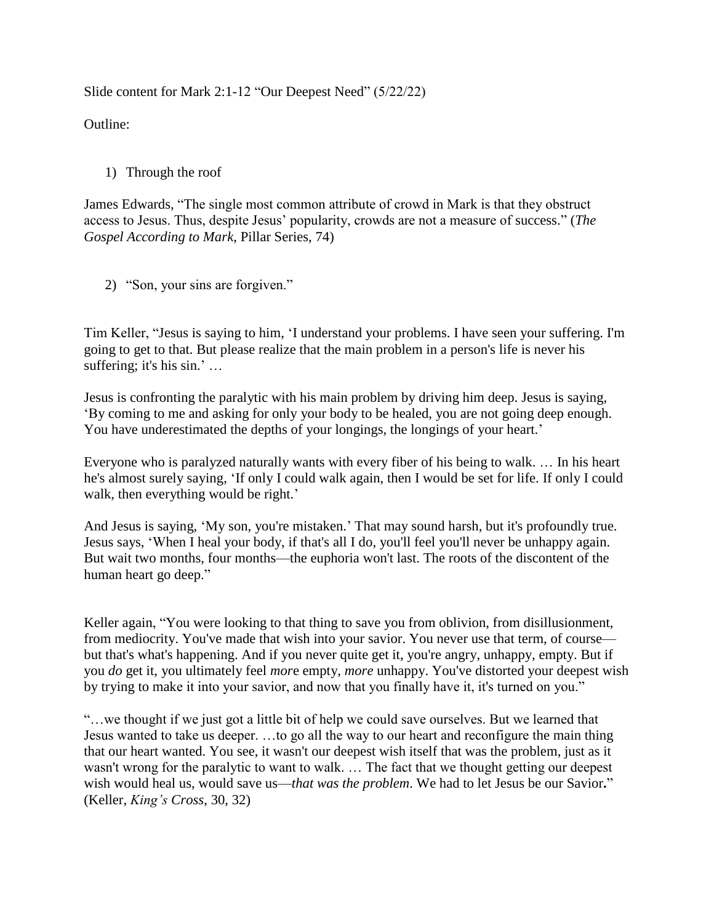Slide content for Mark 2:1-12 "Our Deepest Need" (5/22/22)

Outline:

## 1) Through the roof

James Edwards, "The single most common attribute of crowd in Mark is that they obstruct access to Jesus. Thus, despite Jesus' popularity, crowds are not a measure of success." (*The Gospel According to Mark*, Pillar Series, 74)

2) "Son, your sins are forgiven."

Tim Keller, "Jesus is saying to him, 'I understand your problems. I have seen your suffering. I'm going to get to that. But please realize that the main problem in a person's life is never his suffering; it's his sin.' …

Jesus is confronting the paralytic with his main problem by driving him deep. Jesus is saying, 'By coming to me and asking for only your body to be healed, you are not going deep enough. You have underestimated the depths of your longings, the longings of your heart.'

Everyone who is paralyzed naturally wants with every fiber of his being to walk. … In his heart he's almost surely saying, 'If only I could walk again, then I would be set for life. If only I could walk, then everything would be right.'

And Jesus is saying, 'My son, you're mistaken.' That may sound harsh, but it's profoundly true. Jesus says, 'When I heal your body, if that's all I do, you'll feel you'll never be unhappy again. But wait two months, four months—the euphoria won't last. The roots of the discontent of the human heart go deep."

Keller again, "You were looking to that thing to save you from oblivion, from disillusionment, from mediocrity. You've made that wish into your savior. You never use that term, of course but that's what's happening. And if you never quite get it, you're angry, unhappy, empty. But if you *do* get it, you ultimately feel *mor*e empty, *more* unhappy. You've distorted your deepest wish by trying to make it into your savior, and now that you finally have it, it's turned on you."

"…we thought if we just got a little bit of help we could save ourselves. But we learned that Jesus wanted to take us deeper. …to go all the way to our heart and reconfigure the main thing that our heart wanted. You see, it wasn't our deepest wish itself that was the problem, just as it wasn't wrong for the paralytic to want to walk. … The fact that we thought getting our deepest wish would heal us, would save us—*that was the problem*. We had to let Jesus be our Savior**.**" (Keller, *King's Cross*, 30, 32)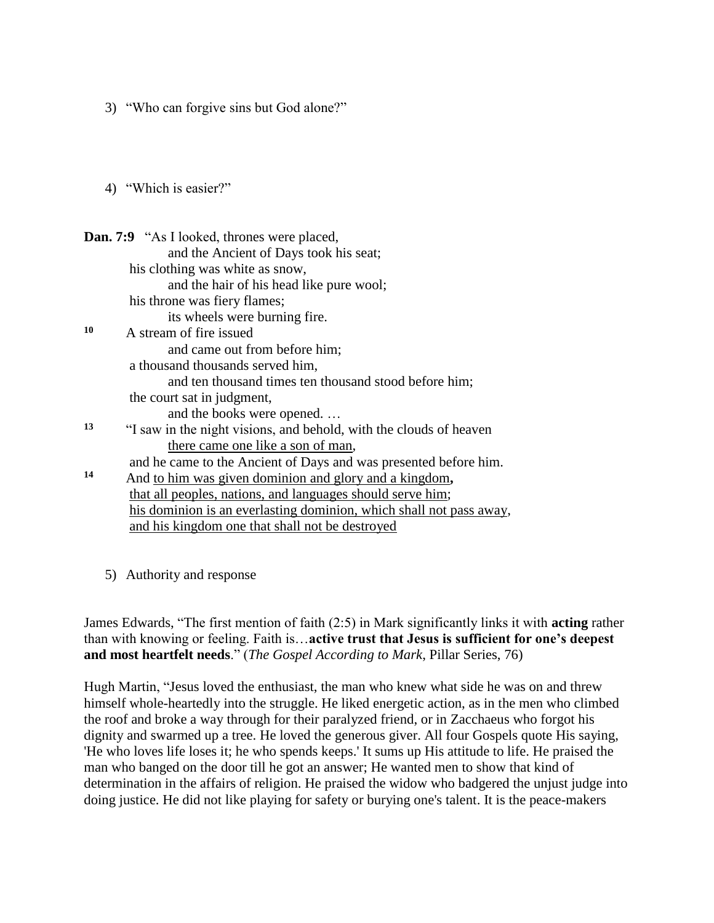3) "Who can forgive sins but God alone?"

4) "Which is easier?"

|    | <b>Dan.</b> 7:9 "As I looked, thrones were placed,                  |
|----|---------------------------------------------------------------------|
|    | and the Ancient of Days took his seat;                              |
| 10 | his clothing was white as snow,                                     |
|    | and the hair of his head like pure wool;                            |
|    | his throne was fiery flames;                                        |
|    | its wheels were burning fire.                                       |
|    | A stream of fire issued                                             |
|    | and came out from before him;                                       |
|    | a thousand thousands served him,                                    |
|    | and ten thousand times ten thousand stood before him;               |
|    | the court sat in judgment,                                          |
|    | and the books were opened                                           |
| 13 | "I saw in the night visions, and behold, with the clouds of heaven  |
| 14 | there came one like a son of man,                                   |
|    | and he came to the Ancient of Days and was presented before him.    |
|    | And <u>to him was given dominion and glory and a kingdom</u> ,      |
|    | that all peoples, nations, and languages should serve him;          |
|    | his dominion is an everlasting dominion, which shall not pass away, |
|    | and his kingdom one that shall not be destroyed                     |

5) Authority and response

James Edwards, "The first mention of faith (2:5) in Mark significantly links it with **acting** rather than with knowing or feeling. Faith is…**active trust that Jesus is sufficient for one's deepest and most heartfelt needs**." (*The Gospel According to Mark*, Pillar Series, 76)

Hugh Martin, "Jesus loved the enthusiast, the man who knew what side he was on and threw himself whole-heartedly into the struggle. He liked energetic action, as in the men who climbed the roof and broke a way through for their paralyzed friend, or in Zacchaeus who forgot his dignity and swarmed up a tree. He loved the generous giver. All four Gospels quote His saying, 'He who loves life loses it; he who spends keeps.' It sums up His attitude to life. He praised the man who banged on the door till he got an answer; He wanted men to show that kind of determination in the affairs of religion. He praised the widow who badgered the unjust judge into doing justice. He did not like playing for safety or burying one's talent. It is the peace-makers